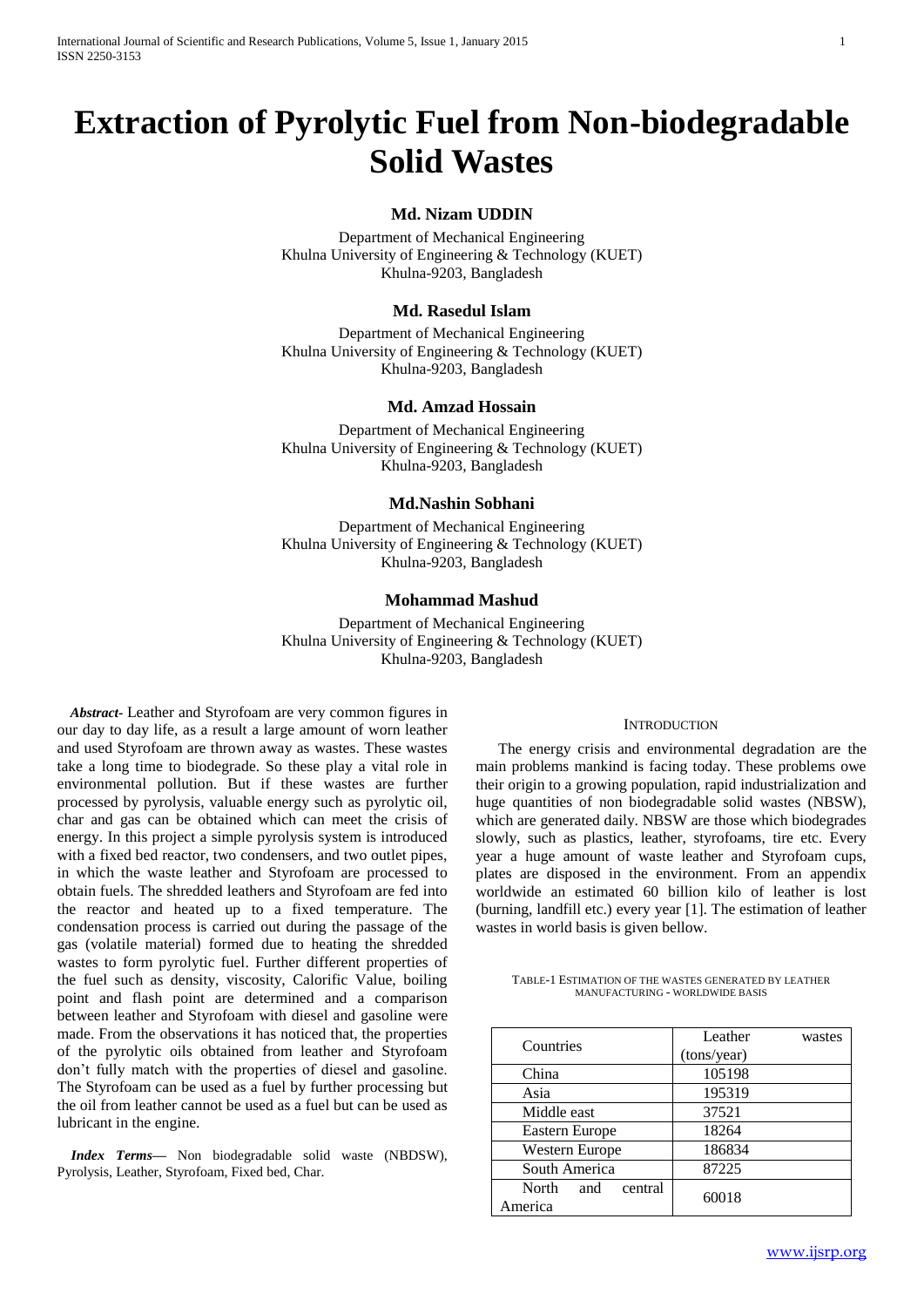# **Extraction of Pyrolytic Fuel from Non-biodegradable Solid Wastes**

## **Md. Nizam UDDIN**

Department of Mechanical Engineering Khulna University of Engineering & Technology (KUET) Khulna-9203, Bangladesh

## **Md. Rasedul Islam**

Department of Mechanical Engineering Khulna University of Engineering & Technology (KUET) Khulna-9203, Bangladesh

## **Md. Amzad Hossain**

Department of Mechanical Engineering Khulna University of Engineering & Technology (KUET) Khulna-9203, Bangladesh

## **Md.Nashin Sobhani**

Department of Mechanical Engineering Khulna University of Engineering & Technology (KUET) Khulna-9203, Bangladesh

## **Mohammad Mashud**

Department of Mechanical Engineering Khulna University of Engineering & Technology (KUET) Khulna-9203, Bangladesh

*Abstract***-** Leather and Styrofoam are very common figures in our day to day life, as a result a large amount of worn leather and used Styrofoam are thrown away as wastes. These wastes take a long time to biodegrade. So these play a vital role in environmental pollution. But if these wastes are further processed by pyrolysis, valuable energy such as pyrolytic oil, char and gas can be obtained which can meet the crisis of energy. In this project a simple pyrolysis system is introduced with a fixed bed reactor, two condensers, and two outlet pipes, in which the waste leather and Styrofoam are processed to obtain fuels. The shredded leathers and Styrofoam are fed into the reactor and heated up to a fixed temperature. The condensation process is carried out during the passage of the gas (volatile material) formed due to heating the shredded wastes to form pyrolytic fuel. Further different properties of the fuel such as density, viscosity, Calorific Value, boiling point and flash point are determined and a comparison between leather and Styrofoam with diesel and gasoline were made. From the observations it has noticed that, the properties of the pyrolytic oils obtained from leather and Styrofoam don't fully match with the properties of diesel and gasoline. The Styrofoam can be used as a fuel by further processing but the oil from leather cannot be used as a fuel but can be used as lubricant in the engine.

*Index Terms***—** Non biodegradable solid waste (NBDSW), Pyrolysis, Leather, Styrofoam, Fixed bed, Char.

## **INTRODUCTION**

The energy crisis and environmental degradation are the main problems mankind is facing today. These problems owe their origin to a growing population, rapid industrialization and huge quantities of non biodegradable solid wastes (NBSW), which are generated daily. NBSW are those which biodegrades slowly, such as plastics, leather, styrofoams, tire etc. Every year a huge amount of waste leather and Styrofoam cups, plates are disposed in the environment. From an appendix worldwide an estimated 60 billion kilo of leather is lost (burning, landfill etc.) every year [1]. The estimation of leather wastes in world basis is given bellow.

| TABLE-1 ESTIMATION OF THE WASTES GENERATED BY LEATHER |  |                                        |  |
|-------------------------------------------------------|--|----------------------------------------|--|
|                                                       |  | <b>MANUFACTURING - WORLDWIDE BASIS</b> |  |

| Countries                         | Leather<br>(tons/year) | wastes |
|-----------------------------------|------------------------|--------|
| China                             | 105198                 |        |
| Asia                              | 195319                 |        |
| Middle east                       | 37521                  |        |
| Eastern Europe                    | 18264                  |        |
| Western Europe                    | 186834                 |        |
| South America                     | 87225                  |        |
| North<br>central<br>and<br>merica | 60018                  |        |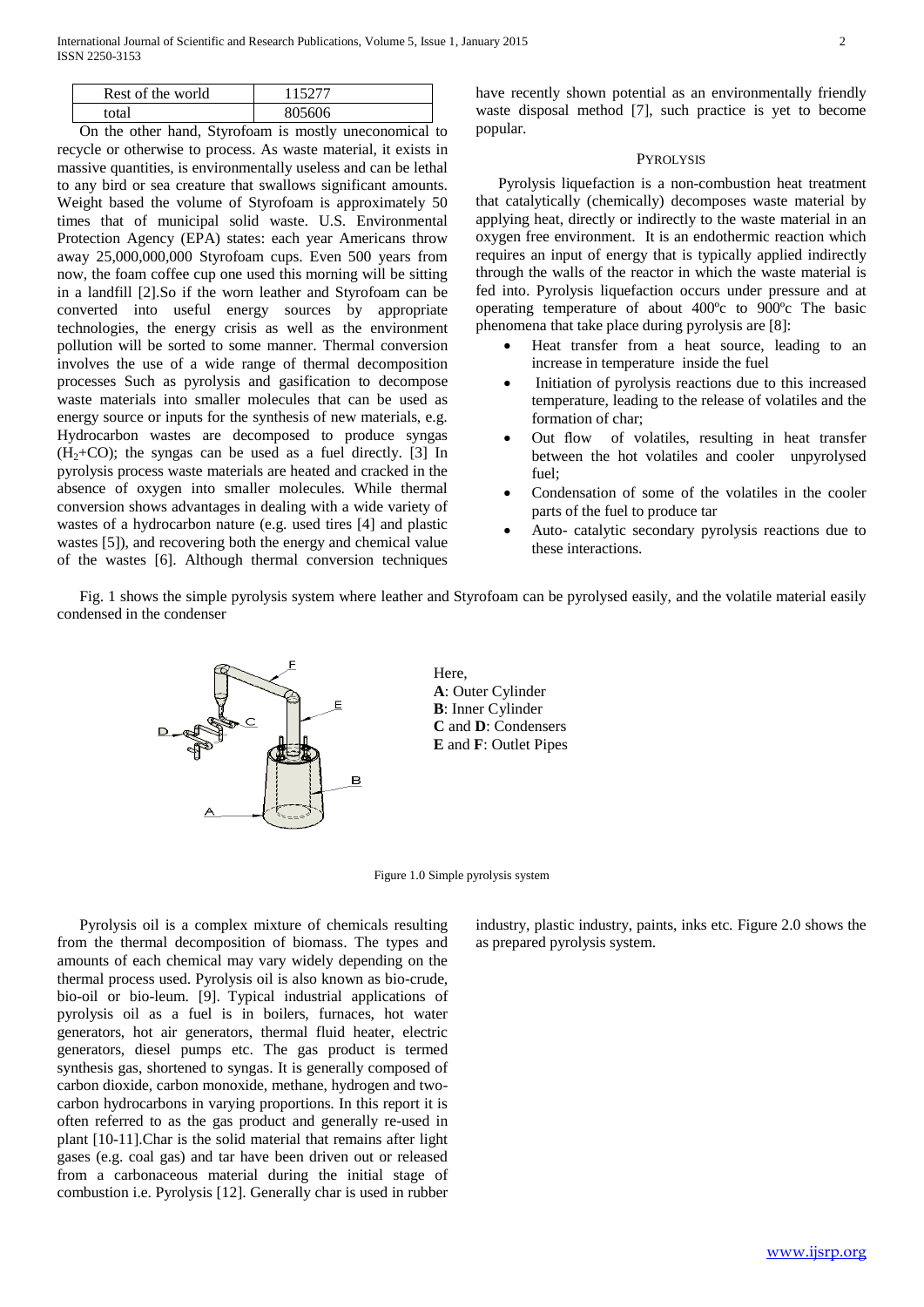| Rest of the world | 115277 |
|-------------------|--------|
| total             | 805606 |

On the other hand, Styrofoam is mostly uneconomical to recycle or otherwise to process. As waste material, it exists in massive quantities, is environmentally useless and can be lethal to any bird or sea creature that swallows significant amounts. Weight based the volume of Styrofoam is approximately 50 times that of municipal solid waste. U.S. Environmental Protection Agency (EPA) states: each year Americans throw away 25,000,000,000 Styrofoam cups. Even 500 years from now, the foam coffee cup one used this morning will be sitting in a landfill [2].So if the worn leather and Styrofoam can be converted into useful energy sources by appropriate technologies, the energy crisis as well as the environment pollution will be sorted to some manner. Thermal conversion involves the use of a wide range of thermal decomposition processes Such as pyrolysis and gasification to decompose waste materials into smaller molecules that can be used as energy source or inputs for the synthesis of new materials, e.g. Hydrocarbon wastes are decomposed to produce syngas  $(H<sub>2</sub>+CO)$ ; the syngas can be used as a fuel directly. [3] In pyrolysis process waste materials are heated and cracked in the absence of oxygen into smaller molecules. While thermal conversion shows advantages in dealing with a wide variety of wastes of a hydrocarbon nature (e.g. used tires [4] and plastic wastes [5]), and recovering both the energy and chemical value of the wastes [6]. Although thermal conversion techniques

have recently shown potential as an environmentally friendly waste disposal method [7], such practice is yet to become popular.

#### **PYROLYSIS**

Pyrolysis liquefaction is a non-combustion heat treatment that catalytically (chemically) decomposes waste material by applying heat, directly or indirectly to the waste material in an oxygen free environment. It is an endothermic reaction which requires an input of energy that is typically applied indirectly through the walls of the reactor in which the waste material is fed into. Pyrolysis liquefaction occurs under pressure and at operating temperature of about 400ºc to 900ºc The basic phenomena that take place during pyrolysis are [8]:

- Heat transfer from a heat source, leading to an increase in temperature inside the fuel
- Initiation of pyrolysis reactions due to this increased temperature, leading to the release of volatiles and the formation of char;
- Out flow of volatiles, resulting in heat transfer between the hot volatiles and cooler unpyrolysed fuel;
- Condensation of some of the volatiles in the cooler parts of the fuel to produce tar
- Auto- catalytic secondary pyrolysis reactions due to these interactions.

Fig. 1 shows the simple pyrolysis system where leather and Styrofoam can be pyrolysed easily, and the volatile material easily condensed in the condenser



Here, **A**: Outer Cylinder **B**: Inner Cylinder **C** and **D**: Condensers **E** and **F**: Outlet Pipes

Figure 1.0 Simple pyrolysis system

Pyrolysis oil is a complex mixture of chemicals resulting from the thermal decomposition of biomass. The types and amounts of each chemical may vary widely depending on the thermal process used. Pyrolysis oil is also known as bio-crude, bio-oil or bio-leum. [9]. Typical industrial applications of pyrolysis oil as a fuel is in boilers, furnaces, hot water generators, hot air generators, thermal fluid heater, electric generators, diesel pumps etc. The gas product is termed synthesis gas, shortened to syngas. It is generally composed of carbon dioxide, carbon monoxide, methane, hydrogen and twocarbon hydrocarbons in varying proportions. In this report it is often referred to as the gas product and generally re-used in plant [10-11].Char is the solid material that remains after light gases (e.g. coal gas) and tar have been driven out or released from a carbonaceous material during the initial stage of combustion i.e. Pyrolysis [12]. Generally char is used in rubber industry, plastic industry, paints, inks etc. Figure 2.0 shows the as prepared pyrolysis system.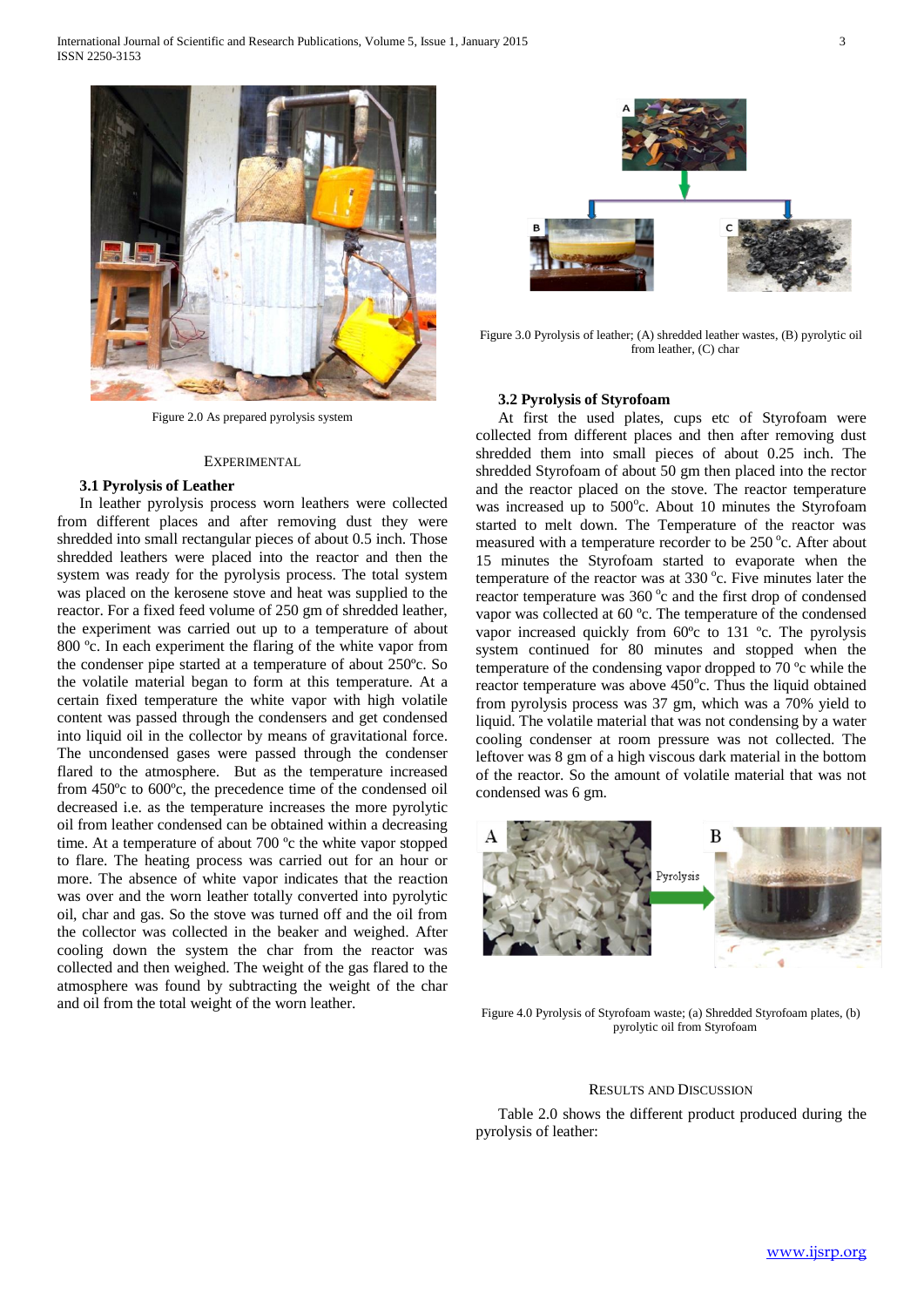

Figure 2.0 As prepared pyrolysis system

#### **EXPERIMENTAL**

## **3.1 Pyrolysis of Leather**

In leather pyrolysis process worn leathers were collected from different places and after removing dust they were shredded into small rectangular pieces of about 0.5 inch. Those shredded leathers were placed into the reactor and then the system was ready for the pyrolysis process. The total system was placed on the kerosene stove and heat was supplied to the reactor. For a fixed feed volume of 250 gm of shredded leather, the experiment was carried out up to a temperature of about 800 °c. In each experiment the flaring of the white vapor from the condenser pipe started at a temperature of about 250ºc. So the volatile material began to form at this temperature. At a certain fixed temperature the white vapor with high volatile content was passed through the condensers and get condensed into liquid oil in the collector by means of gravitational force. The uncondensed gases were passed through the condenser flared to the atmosphere. But as the temperature increased from 450ºc to 600ºc, the precedence time of the condensed oil decreased i.e. as the temperature increases the more pyrolytic oil from leather condensed can be obtained within a decreasing time. At a temperature of about 700 ºc the white vapor stopped to flare. The heating process was carried out for an hour or more. The absence of white vapor indicates that the reaction was over and the worn leather totally converted into pyrolytic oil, char and gas. So the stove was turned off and the oil from the collector was collected in the beaker and weighed. After cooling down the system the char from the reactor was collected and then weighed. The weight of the gas flared to the atmosphere was found by subtracting the weight of the char and oil from the total weight of the worn leather.



Figure 3.0 Pyrolysis of leather; (A) shredded leather wastes, (B) pyrolytic oil from leather, (C) char

## **3.2 Pyrolysis of Styrofoam**

At first the used plates, cups etc of Styrofoam were collected from different places and then after removing dust shredded them into small pieces of about 0.25 inch. The shredded Styrofoam of about 50 gm then placed into the rector and the reactor placed on the stove. The reactor temperature was increased up to 500°c. About 10 minutes the Styrofoam started to melt down. The Temperature of the reactor was measured with a temperature recorder to be 250 °c. After about 15 minutes the Styrofoam started to evaporate when the temperature of the reactor was at  $330^{\circ}$ c. Five minutes later the reactor temperature was 360 °c and the first drop of condensed vapor was collected at 60 ºc. The temperature of the condensed vapor increased quickly from 60ºc to 131 ºc. The pyrolysis system continued for 80 minutes and stopped when the temperature of the condensing vapor dropped to 70 ºc while the reactor temperature was above  $450^{\circ}$ c. Thus the liquid obtained from pyrolysis process was 37 gm, which was a 70% yield to liquid. The volatile material that was not condensing by a water cooling condenser at room pressure was not collected. The leftover was 8 gm of a high viscous dark material in the bottom of the reactor. So the amount of volatile material that was not condensed was 6 gm.



Figure 4.0 Pyrolysis of Styrofoam waste; (a) Shredded Styrofoam plates, (b) pyrolytic oil from Styrofoam

#### RESULTS AND DISCUSSION

Table 2.0 shows the different product produced during the pyrolysis of leather: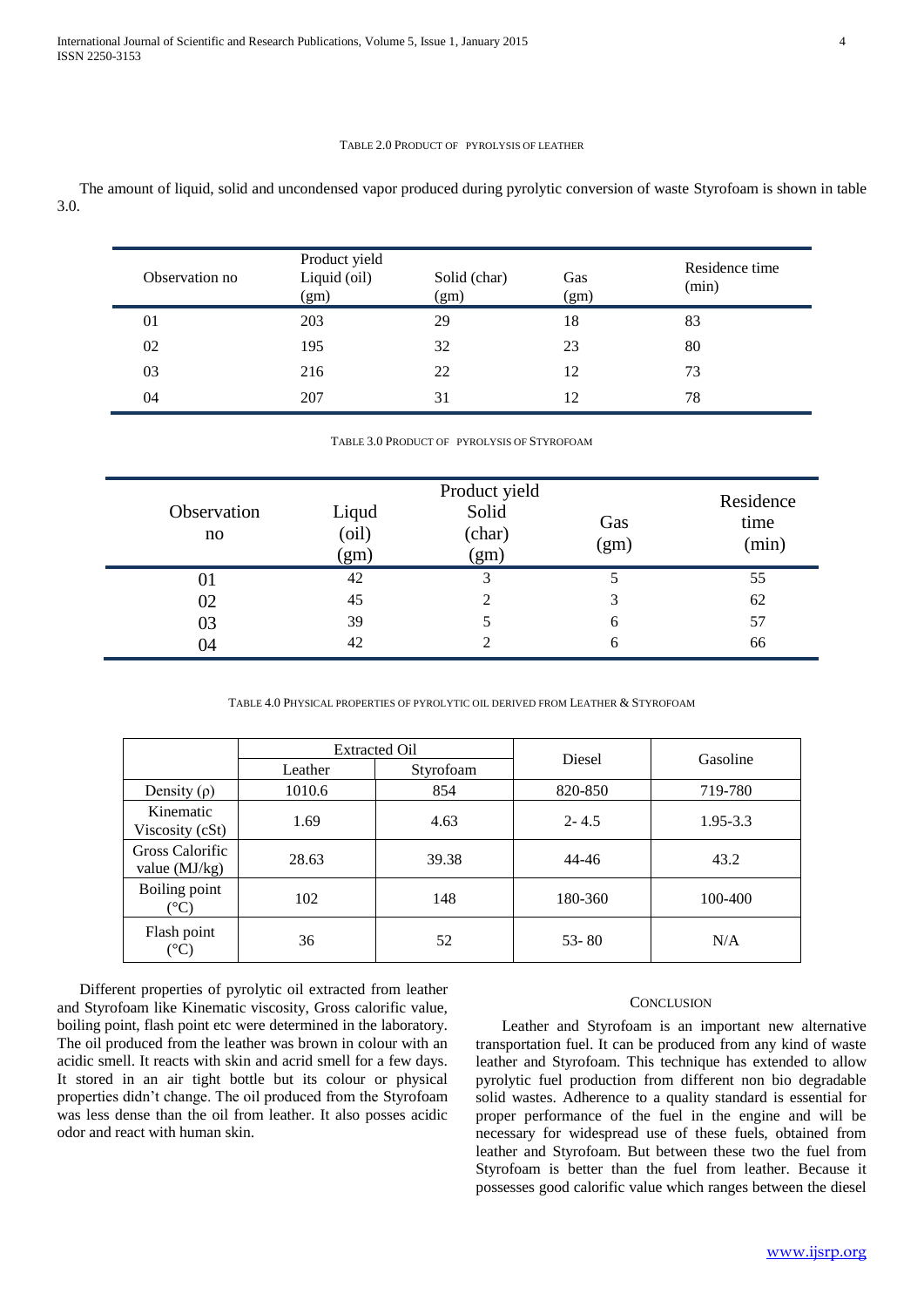## TABLE 2.0 PRODUCT OF PYROLYSIS OF LEATHER

The amount of liquid, solid and uncondensed vapor produced during pyrolytic conversion of waste Styrofoam is shown in table 3.0.

| Observation no | Product yield<br>Liquid (oil)<br>(gm) | Solid (char)<br>(gm) | Gas<br>(gm) | Residence time<br>(min) |
|----------------|---------------------------------------|----------------------|-------------|-------------------------|
| 01             | 203                                   | 29                   | 18          | 83                      |
| 02             | 195                                   | 32                   | 23          | 80                      |
| 03             | 216                                   | 22                   | 12          | 73                      |
| 04             | 207                                   | 31                   | 12          | 78                      |

#### TABLE 3.0 PRODUCT OF PYROLYSIS OF STYROFOAM

| Observation<br>no | Liqud<br>(oil)<br>(gm) | Product yield<br>Solid<br>(char)<br>(gm) | Gas<br>(gm) | Residence<br>time<br>(min) |
|-------------------|------------------------|------------------------------------------|-------------|----------------------------|
| 01                | 42                     | 3                                        |             | 55                         |
| 02                | 45                     | 2                                        | 3           | 62                         |
| 03                | 39                     |                                          | 6           | 57                         |
| 04                | 42                     |                                          | 6           | 66                         |

TABLE 4.0 PHYSICAL PROPERTIES OF PYROLYTIC OIL DERIVED FROM LEATHER & STYROFOAM

|                                    | <b>Extracted Oil</b> |           | Diesel    |              |
|------------------------------------|----------------------|-----------|-----------|--------------|
|                                    | Leather              | Styrofoam |           | Gasoline     |
| Density $(\rho)$                   | 1010.6               | 854       | 820-850   | 719-780      |
| Kinematic<br>Viscosity (cSt)       | 1.69                 | 4.63      | $2 - 4.5$ | $1.95 - 3.3$ |
| Gross Calorific<br>value $(MJ/kg)$ | 28.63                | 39.38     | $44 - 46$ | 43.2         |
| Boiling point<br>(°C)              | 102                  | 148       | 180-360   | 100-400      |
| Flash point<br>(°C)                | 36                   | 52        | $53 - 80$ | N/A          |

Different properties of pyrolytic oil extracted from leather and Styrofoam like Kinematic viscosity, Gross calorific value, boiling point, flash point etc were determined in the laboratory. The oil produced from the leather was brown in colour with an acidic smell. It reacts with skin and acrid smell for a few days. It stored in an air tight bottle but its colour or physical properties didn't change. The oil produced from the Styrofoam was less dense than the oil from leather. It also posses acidic odor and react with human skin.

#### **CONCLUSION**

Leather and Styrofoam is an important new alternative transportation fuel. It can be produced from any kind of waste leather and Styrofoam. This technique has extended to allow pyrolytic fuel production from different non bio degradable solid wastes. Adherence to a quality standard is essential for proper performance of the fuel in the engine and will be necessary for widespread use of these fuels, obtained from leather and Styrofoam. But between these two the fuel from Styrofoam is better than the fuel from leather. Because it possesses good calorific value which ranges between the diesel